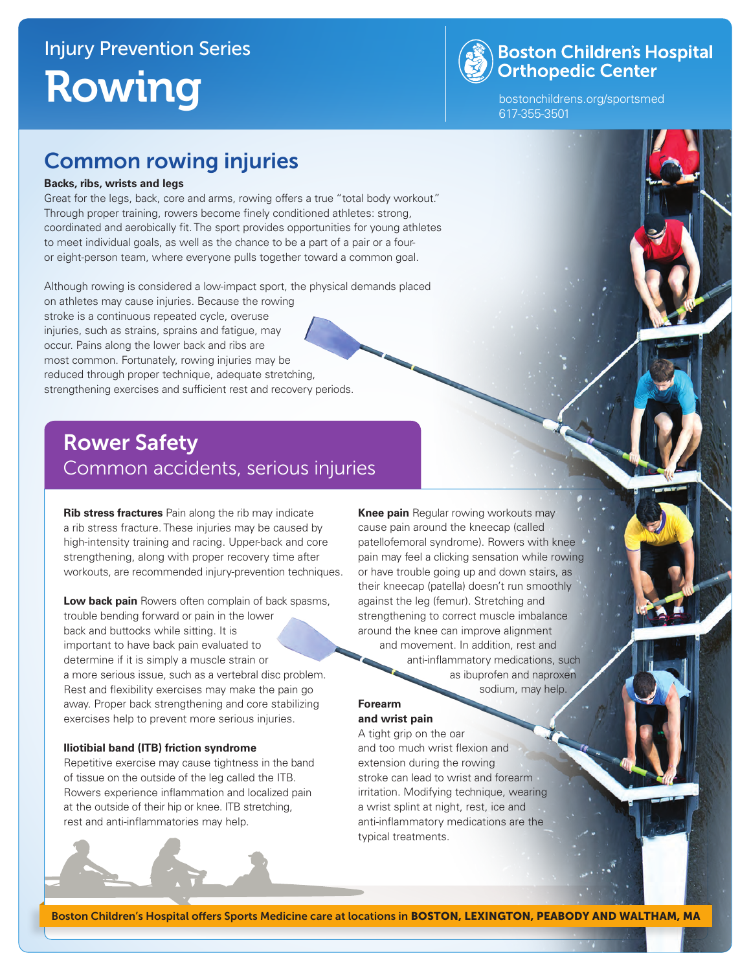

## **Boston Children's Hospital Orthopedic Center**

bostonchildrens.org/sportsmed 617-355-3501

## Common rowing injuries

#### **Backs, ribs, wrists and legs**

Great for the legs, back, core and arms, rowing offers a true "total body workout." Through proper training, rowers become finely conditioned athletes: strong, coordinated and aerobically fit. The sport provides opportunities for young athletes to meet individual goals, as well as the chance to be a part of a pair or a fouror eight-person team, where everyone pulls together toward a common goal.

Although rowing is considered a low-impact sport, the physical demands placed

on athletes may cause injuries. Because the rowing stroke is a continuous repeated cycle, overuse injuries, such as strains, sprains and fatigue, may occur. Pains along the lower back and ribs are most common. Fortunately, rowing injuries may be reduced through proper technique, adequate stretching, strengthening exercises and sufficient rest and recovery periods.

## Rower Safety Common accidents, serious injuries

**Rib stress fractures** Pain along the rib may indicate a rib stress fracture. These injuries may be caused by high-intensity training and racing. Upper-back and core strengthening, along with proper recovery time after workouts, are recommended injury-prevention techniques.

**Low back pain** Rowers often complain of back spasms, trouble bending forward or pain in the lower back and buttocks while sitting. It is important to have back pain evaluated to determine if it is simply a muscle strain or a more serious issue, such as a vertebral disc problem. Rest and flexibility exercises may make the pain go away. Proper back strengthening and core stabilizing exercises help to prevent more serious injuries.

#### **Iliotibial band (ITB) friction syndrome**

Repetitive exercise may cause tightness in the band of tissue on the outside of the leg called the ITB. Rowers experience inflammation and localized pain at the outside of their hip or knee. ITB stretching, rest and anti-inflammatories may help.

**Knee pain** Regular rowing workouts may cause pain around the kneecap (called patellofemoral syndrome). Rowers with knee pain may feel a clicking sensation while rowing or have trouble going up and down stairs, as their kneecap (patella) doesn't run smoothly against the leg (femur). Stretching and strengthening to correct muscle imbalance around the knee can improve alignment and movement. In addition, rest and anti-inflammatory medications, such

 as ibuprofen and naproxen sodium, may help.

### **Forearm**

**and wrist pain** A tight grip on the oar and too much wrist flexion and extension during the rowing stroke can lead to wrist and forearm irritation. Modifying technique, wearing a wrist splint at night, rest, ice and anti-inflammatory medications are the typical treatments.

Boston Children's Hospital offers Sports Medicine care at locations in BOSTON, LEXINGTON, PEABODY AND WALTHAM, MA